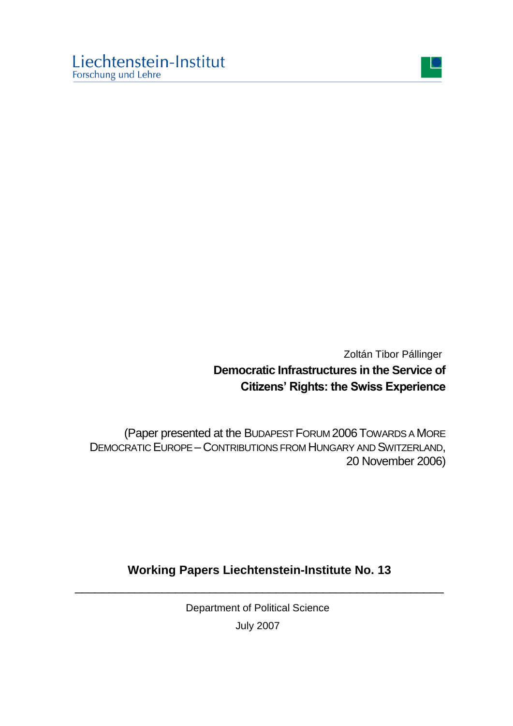

Zoltán Tibor Pállinger **Democratic Infrastructures in the Service of Citizens' Rights: the Swiss Experience**

(Paper presented at the BUDAPEST FORUM 2006TOWARDS A MORE DEMOCRATIC EUROPE – CONTRIBUTIONS FROM HUNGARY AND SWITZERLAND, 20 November 2006)

## **Working Papers Liechtenstein-Institute No. 13** \_\_\_\_\_\_\_\_\_\_\_\_\_\_\_\_\_\_\_\_\_\_\_\_\_\_\_\_\_\_\_\_\_\_\_\_\_\_\_\_\_\_\_\_\_\_\_\_\_\_\_\_\_\_\_

Department of Political Science July 2007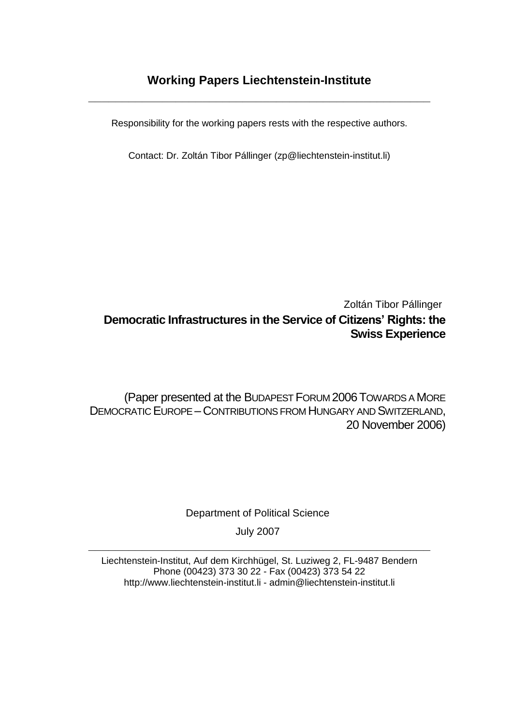## **Working Papers Liechtenstein-Institute**

**\_\_\_\_\_\_\_\_\_\_\_\_\_\_\_\_\_\_\_\_\_\_\_\_\_\_\_\_\_\_\_\_\_\_\_\_\_\_\_\_\_\_\_\_\_\_\_\_\_\_\_**

Responsibility for the working papers rests with the respective authors.

Contact: Dr. Zoltán Tibor Pállinger (zp@liechtenstein-institut.li)

## Zoltán Tibor Pállinger **Democratic Infrastructures in the Service of Citizens' Rights: the Swiss Experience**

(Paper presented at the BUDAPEST FORUM 2006TOWARDS A MORE DEMOCRATIC EUROPE – CONTRIBUTIONS FROM HUNGARY AND SWITZERLAND, 20 November 2006)

Department of Political Science

July 2007 **\_\_\_\_\_\_\_\_\_\_\_\_\_\_\_\_\_\_\_\_\_\_\_\_\_\_\_\_\_\_\_\_\_\_\_\_\_\_\_\_\_\_\_\_\_\_\_\_\_\_\_**

Liechtenstein-Institut, Auf dem Kirchhügel, St. Luziweg 2, FL-9487 Bendern Phone (00423) 373 30 22 - Fax (00423) 373 54 22 http://www.liechtenstein-institut.li - [admin@liechtenstein-institut.li](mailto:admin@liechtenstein-institut.li)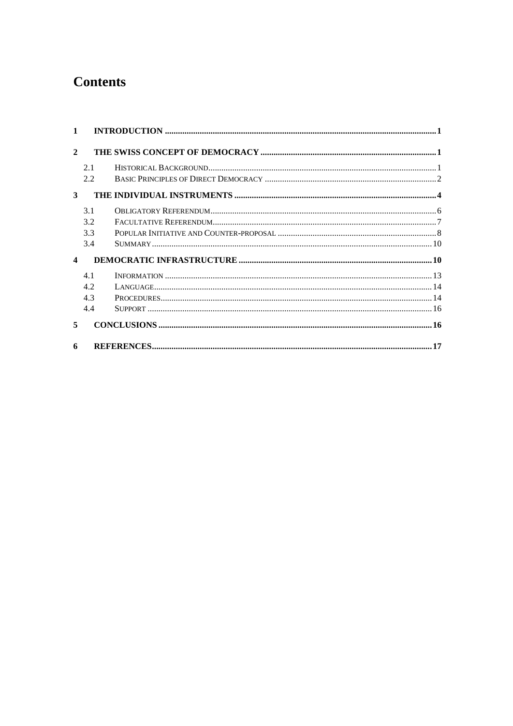# **Contents**

| $\mathbf{2}$           |     |  |  |  |  |  |  |
|------------------------|-----|--|--|--|--|--|--|
|                        | 2.1 |  |  |  |  |  |  |
|                        | 2.2 |  |  |  |  |  |  |
| 3                      |     |  |  |  |  |  |  |
|                        | 3.1 |  |  |  |  |  |  |
|                        | 3.2 |  |  |  |  |  |  |
|                        | 3.3 |  |  |  |  |  |  |
|                        | 3.4 |  |  |  |  |  |  |
| $\boldsymbol{\Lambda}$ |     |  |  |  |  |  |  |
|                        | 41  |  |  |  |  |  |  |
|                        | 4.2 |  |  |  |  |  |  |
|                        | 4.3 |  |  |  |  |  |  |
|                        | 4.4 |  |  |  |  |  |  |
| 5                      |     |  |  |  |  |  |  |
| 6                      | 17  |  |  |  |  |  |  |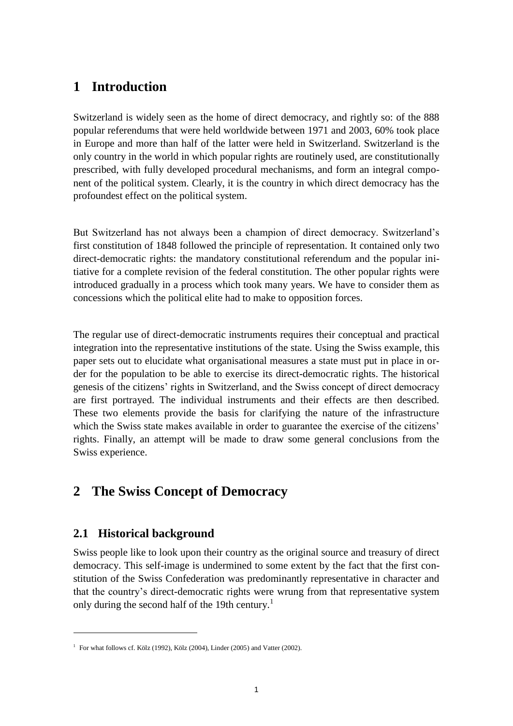# **1 Introduction**

Switzerland is widely seen as the home of direct democracy, and rightly so: of the 888 popular referendums that were held worldwide between 1971 and 2003, 60% took place in Europe and more than half of the latter were held in Switzerland. Switzerland is the only country in the world in which popular rights are routinely used, are constitutionally prescribed, with fully developed procedural mechanisms, and form an integral component of the political system. Clearly, it is the country in which direct democracy has the profoundest effect on the political system.

But Switzerland has not always been a champion of direct democracy. Switzerland"s first constitution of 1848 followed the principle of representation. It contained only two direct-democratic rights: the mandatory constitutional referendum and the popular initiative for a complete revision of the federal constitution. The other popular rights were introduced gradually in a process which took many years. We have to consider them as concessions which the political elite had to make to opposition forces.

The regular use of direct-democratic instruments requires their conceptual and practical integration into the representative institutions of the state. Using the Swiss example, this paper sets out to elucidate what organisational measures a state must put in place in order for the population to be able to exercise its direct-democratic rights. The historical genesis of the citizens" rights in Switzerland, and the Swiss concept of direct democracy are first portrayed. The individual instruments and their effects are then described. These two elements provide the basis for clarifying the nature of the infrastructure which the Swiss state makes available in order to guarantee the exercise of the citizens' rights. Finally, an attempt will be made to draw some general conclusions from the Swiss experience.

## **2 The Swiss Concept of Democracy**

## **2.1 Historical background**

<u>.</u>

Swiss people like to look upon their country as the original source and treasury of direct democracy. This self-image is undermined to some extent by the fact that the first constitution of the Swiss Confederation was predominantly representative in character and that the country"s direct-democratic rights were wrung from that representative system only during the second half of the 19th century.<sup>1</sup>

<sup>&</sup>lt;sup>1</sup> For what follows cf. Kölz (1992), Kölz (2004), Linder (2005) and Vatter (2002).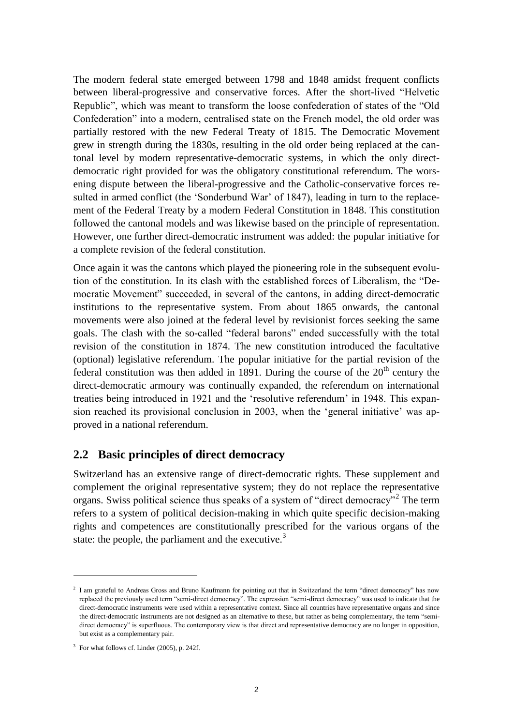The modern federal state emerged between 1798 and 1848 amidst frequent conflicts between liberal-progressive and conservative forces. After the short-lived "Helvetic Republic", which was meant to transform the loose confederation of states of the "Old Confederation" into a modern, centralised state on the French model, the old order was partially restored with the new Federal Treaty of 1815. The Democratic Movement grew in strength during the 1830s, resulting in the old order being replaced at the cantonal level by modern representative-democratic systems, in which the only directdemocratic right provided for was the obligatory constitutional referendum. The worsening dispute between the liberal-progressive and the Catholic-conservative forces resulted in armed conflict (the 'Sonderbund War' of 1847), leading in turn to the replacement of the Federal Treaty by a modern Federal Constitution in 1848. This constitution followed the cantonal models and was likewise based on the principle of representation. However, one further direct-democratic instrument was added: the popular initiative for a complete revision of the federal constitution.

Once again it was the cantons which played the pioneering role in the subsequent evolution of the constitution. In its clash with the established forces of Liberalism, the "Democratic Movement" succeeded, in several of the cantons, in adding direct-democratic institutions to the representative system. From about 1865 onwards, the cantonal movements were also joined at the federal level by revisionist forces seeking the same goals. The clash with the so-called "federal barons" ended successfully with the total revision of the constitution in 1874. The new constitution introduced the facultative (optional) legislative referendum. The popular initiative for the partial revision of the federal constitution was then added in 1891. During the course of the  $20<sup>th</sup>$  century the direct-democratic armoury was continually expanded, the referendum on international treaties being introduced in 1921 and the "resolutive referendum" in 1948. This expansion reached its provisional conclusion in 2003, when the "general initiative" was approved in a national referendum.

### **2.2 Basic principles of direct democracy**

Switzerland has an extensive range of direct-democratic rights. These supplement and complement the original representative system; they do not replace the representative organs. Swiss political science thus speaks of a system of "direct democracy"<sup>2</sup> The term refers to a system of political decision-making in which quite specific decision-making rights and competences are constitutionally prescribed for the various organs of the state: the people, the parliament and the executive.<sup>3</sup>

<sup>&</sup>lt;sup>2</sup> I am grateful to Andreas Gross and Bruno Kaufmann for pointing out that in Switzerland the term "direct democracy" has now replaced the previously used term "semi-direct democracy". The expression "semi-direct democracy" was used to indicate that the direct-democratic instruments were used within a representative context. Since all countries have representative organs and since the direct-democratic instruments are not designed as an alternative to these, but rather as being complementary, the term "semidirect democracy" is superfluous. The contemporary view is that direct and representative democracy are no longer in opposition, but exist as a complementary pair.

<sup>&</sup>lt;sup>3</sup> For what follows cf. Linder (2005), p. 242f.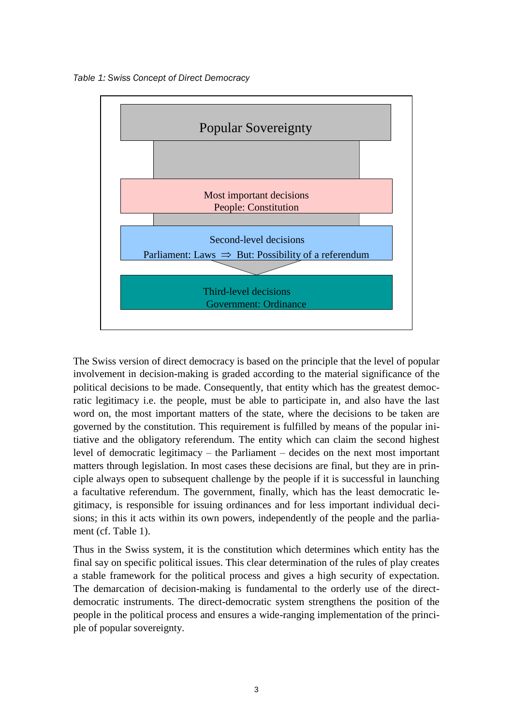*Table 1: Swiss Concept of Direct Democracy*



The Swiss version of direct democracy is based on the principle that the level of popular involvement in decision-making is graded according to the material significance of the political decisions to be made. Consequently, that entity which has the greatest democratic legitimacy i.e. the people, must be able to participate in, and also have the last word on, the most important matters of the state, where the decisions to be taken are governed by the constitution. This requirement is fulfilled by means of the popular initiative and the obligatory referendum. The entity which can claim the second highest level of democratic legitimacy – the Parliament – decides on the next most important matters through legislation. In most cases these decisions are final, but they are in principle always open to subsequent challenge by the people if it is successful in launching a facultative referendum. The government, finally, which has the least democratic legitimacy, is responsible for issuing ordinances and for less important individual decisions; in this it acts within its own powers, independently of the people and the parliament (cf. Table 1).

Thus in the Swiss system, it is the constitution which determines which entity has the final say on specific political issues. This clear determination of the rules of play creates a stable framework for the political process and gives a high security of expectation. The demarcation of decision-making is fundamental to the orderly use of the directdemocratic instruments. The direct-democratic system strengthens the position of the people in the political process and ensures a wide-ranging implementation of the principle of popular sovereignty.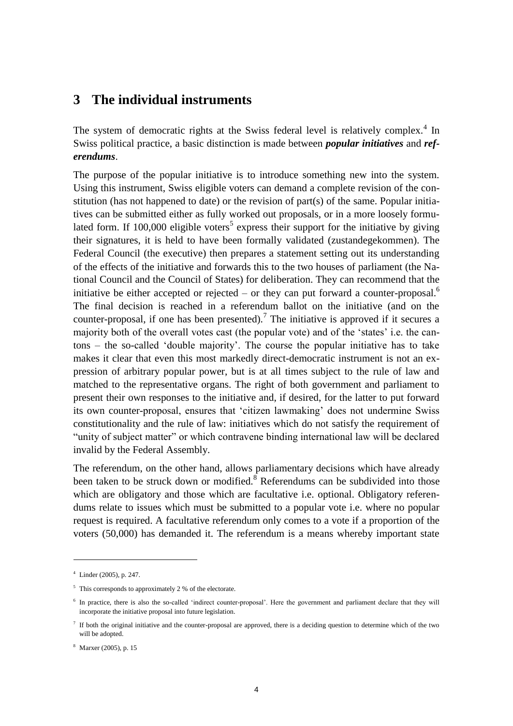## **3 The individual instruments**

The system of democratic rights at the Swiss federal level is relatively complex.<sup>4</sup> In Swiss political practice, a basic distinction is made between *popular initiatives* and *referendums*.

The purpose of the popular initiative is to introduce something new into the system. Using this instrument, Swiss eligible voters can demand a complete revision of the constitution (has not happened to date) or the revision of part(s) of the same. Popular initiatives can be submitted either as fully worked out proposals, or in a more loosely formulated form. If 100,000 eligible voters<sup>5</sup> express their support for the initiative by giving their signatures, it is held to have been formally validated (zustandegekommen). The Federal Council (the executive) then prepares a statement setting out its understanding of the effects of the initiative and forwards this to the two houses of parliament (the National Council and the Council of States) for deliberation. They can recommend that the initiative be either accepted or rejected – or they can put forward a counter-proposal.<sup>6</sup> The final decision is reached in a referendum ballot on the initiative (and on the counter-proposal, if one has been presented).<sup>7</sup> The initiative is approved if it secures a majority both of the overall votes cast (the popular vote) and of the "states" i.e. the cantons – the so-called "double majority". The course the popular initiative has to take makes it clear that even this most markedly direct-democratic instrument is not an expression of arbitrary popular power, but is at all times subject to the rule of law and matched to the representative organs. The right of both government and parliament to present their own responses to the initiative and, if desired, for the latter to put forward its own counter-proposal, ensures that "citizen lawmaking" does not undermine Swiss constitutionality and the rule of law: initiatives which do not satisfy the requirement of "unity of subject matter" or which contravene binding international law will be declared invalid by the Federal Assembly.

The referendum, on the other hand, allows parliamentary decisions which have already been taken to be struck down or modified.<sup>8</sup> Referendums can be subdivided into those which are obligatory and those which are facultative i.e. optional. Obligatory referendums relate to issues which must be submitted to a popular vote i.e. where no popular request is required. A facultative referendum only comes to a vote if a proportion of the voters (50,000) has demanded it. The referendum is a means whereby important state

 $4$  Linder (2005), p. 247.

<sup>&</sup>lt;sup>5</sup> This corresponds to approximately 2 % of the electorate.

<sup>&</sup>lt;sup>6</sup> In practice, there is also the so-called 'indirect counter-proposal'. Here the government and parliament declare that they will incorporate the initiative proposal into future legislation.

 $<sup>7</sup>$  If both the original initiative and the counter-proposal are approved, there is a deciding question to determine which of the two</sup> will be adopted.

<sup>8</sup> Marxer (2005), p. 15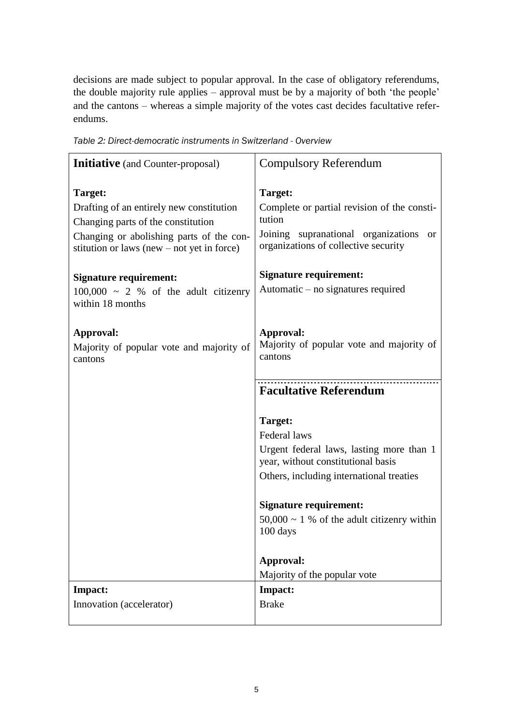decisions are made subject to popular approval. In the case of obligatory referendums, the double majority rule applies – approval must be by a majority of both "the people" and the cantons – whereas a simple majority of the votes cast decides facultative referendums.

| <b>Initiative</b> (and Counter-proposal)                                                                                                                                              | <b>Compulsory Referendum</b>                                                                                                                                     |  |  |  |
|---------------------------------------------------------------------------------------------------------------------------------------------------------------------------------------|------------------------------------------------------------------------------------------------------------------------------------------------------------------|--|--|--|
| Target:<br>Drafting of an entirely new constitution<br>Changing parts of the constitution<br>Changing or abolishing parts of the con-<br>stitution or laws (new $-$ not yet in force) | Target:<br>Complete or partial revision of the consti-<br>tution<br>Joining supranational organizations<br><sub>or</sub><br>organizations of collective security |  |  |  |
| <b>Signature requirement:</b><br>$100,000 \sim 2$ % of the adult citizenry<br>within 18 months                                                                                        | <b>Signature requirement:</b><br>Automatic – no signatures required                                                                                              |  |  |  |
| Approval:<br>Majority of popular vote and majority of<br>cantons                                                                                                                      | Approval:<br>Majority of popular vote and majority of<br>cantons                                                                                                 |  |  |  |
|                                                                                                                                                                                       | <b>Facultative Referendum</b>                                                                                                                                    |  |  |  |
|                                                                                                                                                                                       | Target:<br>Federal laws<br>Urgent federal laws, lasting more than 1<br>year, without constitutional basis<br>Others, including international treaties            |  |  |  |
|                                                                                                                                                                                       | <b>Signature requirement:</b>                                                                                                                                    |  |  |  |
|                                                                                                                                                                                       | $50,000 \sim 1$ % of the adult citizenry within<br>100 days                                                                                                      |  |  |  |
|                                                                                                                                                                                       | Approval:<br>Majority of the popular vote                                                                                                                        |  |  |  |
| Impact:                                                                                                                                                                               | Impact:                                                                                                                                                          |  |  |  |
| Innovation (accelerator)                                                                                                                                                              | <b>Brake</b>                                                                                                                                                     |  |  |  |

*Table 2: Direct-democratic instruments in Switzerland - Overview*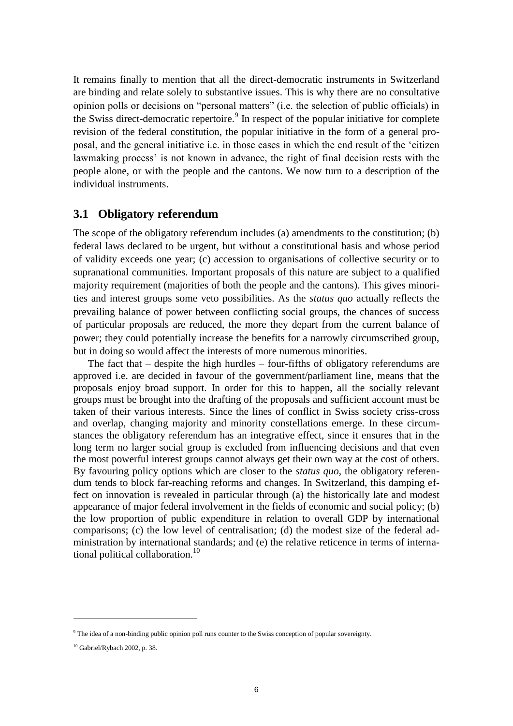It remains finally to mention that all the direct-democratic instruments in Switzerland are binding and relate solely to substantive issues. This is why there are no consultative opinion polls or decisions on "personal matters" (i.e. the selection of public officials) in the Swiss direct-democratic repertoire.<sup>9</sup> In respect of the popular initiative for complete revision of the federal constitution, the popular initiative in the form of a general proposal, and the general initiative i.e. in those cases in which the end result of the "citizen lawmaking process' is not known in advance, the right of final decision rests with the people alone, or with the people and the cantons. We now turn to a description of the individual instruments.

#### **3.1 Obligatory referendum**

The scope of the obligatory referendum includes (a) amendments to the constitution; (b) federal laws declared to be urgent, but without a constitutional basis and whose period of validity exceeds one year; (c) accession to organisations of collective security or to supranational communities. Important proposals of this nature are subject to a qualified majority requirement (majorities of both the people and the cantons). This gives minorities and interest groups some veto possibilities. As the *status quo* actually reflects the prevailing balance of power between conflicting social groups, the chances of success of particular proposals are reduced, the more they depart from the current balance of power; they could potentially increase the benefits for a narrowly circumscribed group, but in doing so would affect the interests of more numerous minorities.

The fact that – despite the high hurdles – four-fifths of obligatory referendums are approved i.e. are decided in favour of the government/parliament line, means that the proposals enjoy broad support. In order for this to happen, all the socially relevant groups must be brought into the drafting of the proposals and sufficient account must be taken of their various interests. Since the lines of conflict in Swiss society criss-cross and overlap, changing majority and minority constellations emerge. In these circumstances the obligatory referendum has an integrative effect, since it ensures that in the long term no larger social group is excluded from influencing decisions and that even the most powerful interest groups cannot always get their own way at the cost of others. By favouring policy options which are closer to the *status quo*, the obligatory referendum tends to block far-reaching reforms and changes. In Switzerland, this damping effect on innovation is revealed in particular through (a) the historically late and modest appearance of major federal involvement in the fields of economic and social policy; (b) the low proportion of public expenditure in relation to overall GDP by international comparisons; (c) the low level of centralisation; (d) the modest size of the federal administration by international standards; and (e) the relative reticence in terms of international political collaboration.<sup>10</sup>

1

<sup>9</sup> The idea of a non-binding public opinion poll runs counter to the Swiss conception of popular sovereignty.

<sup>&</sup>lt;sup>10</sup> Gabriel/Rybach 2002, p. 38.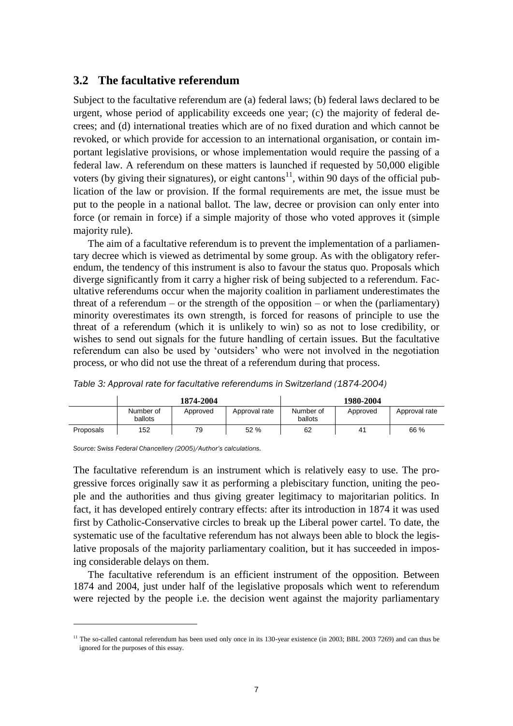#### **3.2 The facultative referendum**

Subject to the facultative referendum are (a) federal laws; (b) federal laws declared to be urgent, whose period of applicability exceeds one year; (c) the majority of federal decrees; and (d) international treaties which are of no fixed duration and which cannot be revoked, or which provide for accession to an international organisation, or contain important legislative provisions, or whose implementation would require the passing of a federal law. A referendum on these matters is launched if requested by 50,000 eligible voters (by giving their signatures), or eight cantons<sup>11</sup>, within 90 days of the official publication of the law or provision. If the formal requirements are met, the issue must be put to the people in a national ballot. The law, decree or provision can only enter into force (or remain in force) if a simple majority of those who voted approves it (simple majority rule).

The aim of a facultative referendum is to prevent the implementation of a parliamentary decree which is viewed as detrimental by some group. As with the obligatory referendum, the tendency of this instrument is also to favour the status quo. Proposals which diverge significantly from it carry a higher risk of being subjected to a referendum. Facultative referendums occur when the majority coalition in parliament underestimates the threat of a referendum – or the strength of the opposition – or when the (parliamentary) minority overestimates its own strength, is forced for reasons of principle to use the threat of a referendum (which it is unlikely to win) so as not to lose credibility, or wishes to send out signals for the future handling of certain issues. But the facultative referendum can also be used by "outsiders" who were not involved in the negotiation process, or who did not use the threat of a referendum during that process.

|           | 1874-2004            |          |               | 1980-2004            |          |               |
|-----------|----------------------|----------|---------------|----------------------|----------|---------------|
|           | Number of<br>ballots | Approved | Approval rate | Number of<br>ballots | Approved | Approval rate |
| Proposals | 152                  | 79       | 52 %          | 62                   | 41       | 66 %          |

*Table 3: Approval rate for facultative referendums in Switzerland (1874-2004)*

*Source: Swiss Federal Chancellery (2005)/Author's calculations.*

1

The facultative referendum is an instrument which is relatively easy to use. The progressive forces originally saw it as performing a plebiscitary function, uniting the people and the authorities and thus giving greater legitimacy to majoritarian politics. In fact, it has developed entirely contrary effects: after its introduction in 1874 it was used first by Catholic-Conservative circles to break up the Liberal power cartel. To date, the systematic use of the facultative referendum has not always been able to block the legislative proposals of the majority parliamentary coalition, but it has succeeded in imposing considerable delays on them.

The facultative referendum is an efficient instrument of the opposition. Between 1874 and 2004, just under half of the legislative proposals which went to referendum were rejected by the people i.e. the decision went against the majority parliamentary

<sup>&</sup>lt;sup>11</sup> The so-called cantonal referendum has been used only once in its 130-year existence (in 2003; BBL 2003 7269) and can thus be ignored for the purposes of this essay.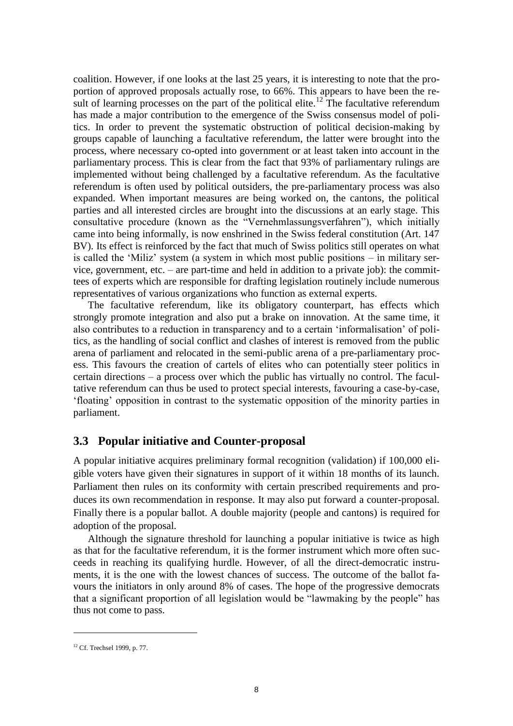coalition. However, if one looks at the last 25 years, it is interesting to note that the proportion of approved proposals actually rose, to 66%. This appears to have been the result of learning processes on the part of the political elite.<sup>12</sup> The facultative referendum has made a major contribution to the emergence of the Swiss consensus model of politics. In order to prevent the systematic obstruction of political decision-making by groups capable of launching a facultative referendum, the latter were brought into the process, where necessary co-opted into government or at least taken into account in the parliamentary process. This is clear from the fact that 93% of parliamentary rulings are implemented without being challenged by a facultative referendum. As the facultative referendum is often used by political outsiders, the pre-parliamentary process was also expanded. When important measures are being worked on, the cantons, the political parties and all interested circles are brought into the discussions at an early stage. This consultative procedure (known as the "Vernehmlassungsverfahren"), which initially came into being informally, is now enshrined in the Swiss federal constitution (Art. 147 BV). Its effect is reinforced by the fact that much of Swiss politics still operates on what is called the "Miliz" system (a system in which most public positions – in military service, government, etc. – are part-time and held in addition to a private job): the committees of experts which are responsible for drafting legislation routinely include numerous representatives of various organizations who function as external experts.

The facultative referendum, like its obligatory counterpart, has effects which strongly promote integration and also put a brake on innovation. At the same time, it also contributes to a reduction in transparency and to a certain "informalisation" of politics, as the handling of social conflict and clashes of interest is removed from the public arena of parliament and relocated in the semi-public arena of a pre-parliamentary process. This favours the creation of cartels of elites who can potentially steer politics in certain directions – a process over which the public has virtually no control. The facultative referendum can thus be used to protect special interests, favouring a case-by-case, "floating" opposition in contrast to the systematic opposition of the minority parties in parliament.

### **3.3 Popular initiative and Counter-proposal**

A popular initiative acquires preliminary formal recognition (validation) if 100,000 eligible voters have given their signatures in support of it within 18 months of its launch. Parliament then rules on its conformity with certain prescribed requirements and produces its own recommendation in response. It may also put forward a counter-proposal. Finally there is a popular ballot. A double majority (people and cantons) is required for adoption of the proposal.

Although the signature threshold for launching a popular initiative is twice as high as that for the facultative referendum, it is the former instrument which more often succeeds in reaching its qualifying hurdle. However, of all the direct-democratic instruments, it is the one with the lowest chances of success. The outcome of the ballot favours the initiators in only around 8% of cases. The hope of the progressive democrats that a significant proportion of all legislation would be "lawmaking by the people" has thus not come to pass.

<sup>&</sup>lt;sup>12</sup> Cf. Trechsel 1999, p. 77.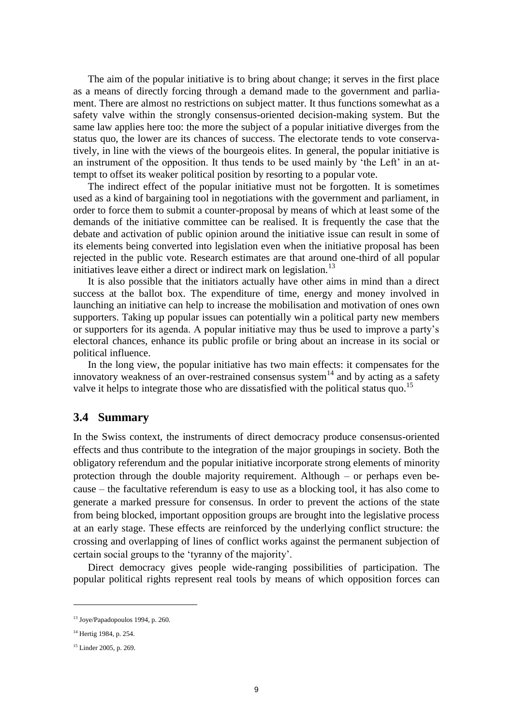The aim of the popular initiative is to bring about change; it serves in the first place as a means of directly forcing through a demand made to the government and parliament. There are almost no restrictions on subject matter. It thus functions somewhat as a safety valve within the strongly consensus-oriented decision-making system. But the same law applies here too: the more the subject of a popular initiative diverges from the status quo, the lower are its chances of success. The electorate tends to vote conservatively, in line with the views of the bourgeois elites. In general, the popular initiative is an instrument of the opposition. It thus tends to be used mainly by 'the Left' in an attempt to offset its weaker political position by resorting to a popular vote.

The indirect effect of the popular initiative must not be forgotten. It is sometimes used as a kind of bargaining tool in negotiations with the government and parliament, in order to force them to submit a counter-proposal by means of which at least some of the demands of the initiative committee can be realised. It is frequently the case that the debate and activation of public opinion around the initiative issue can result in some of its elements being converted into legislation even when the initiative proposal has been rejected in the public vote. Research estimates are that around one-third of all popular initiatives leave either a direct or indirect mark on legislation.<sup>13</sup>

It is also possible that the initiators actually have other aims in mind than a direct success at the ballot box. The expenditure of time, energy and money involved in launching an initiative can help to increase the mobilisation and motivation of ones own supporters. Taking up popular issues can potentially win a political party new members or supporters for its agenda. A popular initiative may thus be used to improve a party"s electoral chances, enhance its public profile or bring about an increase in its social or political influence.

In the long view, the popular initiative has two main effects: it compensates for the innovatory weakness of an over-restrained consensus system $14$  and by acting as a safety valve it helps to integrate those who are dissatisfied with the political status quo.<sup>15</sup>

#### **3.4 Summary**

In the Swiss context, the instruments of direct democracy produce consensus-oriented effects and thus contribute to the integration of the major groupings in society. Both the obligatory referendum and the popular initiative incorporate strong elements of minority protection through the double majority requirement. Although – or perhaps even because – the facultative referendum is easy to use as a blocking tool, it has also come to generate a marked pressure for consensus. In order to prevent the actions of the state from being blocked, important opposition groups are brought into the legislative process at an early stage. These effects are reinforced by the underlying conflict structure: the crossing and overlapping of lines of conflict works against the permanent subjection of certain social groups to the "tyranny of the majority".

Direct democracy gives people wide-ranging possibilities of participation. The popular political rights represent real tools by means of which opposition forces can

<sup>13</sup> Joye/Papadopoulos 1994, p. 260.

<sup>&</sup>lt;sup>14</sup> Hertig 1984, p. 254.

<sup>&</sup>lt;sup>15</sup> Linder 2005, p. 269.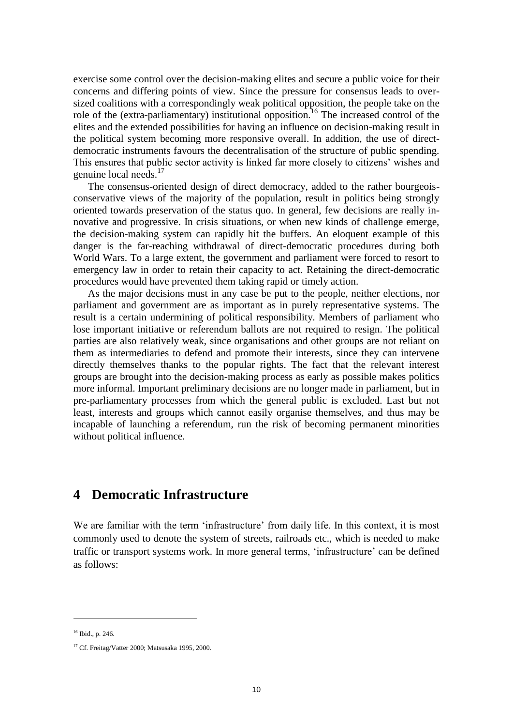exercise some control over the decision-making elites and secure a public voice for their concerns and differing points of view. Since the pressure for consensus leads to oversized coalitions with a correspondingly weak political opposition, the people take on the role of the (extra-parliamentary) institutional opposition.<sup>16</sup> The increased control of the elites and the extended possibilities for having an influence on decision-making result in the political system becoming more responsive overall. In addition, the use of directdemocratic instruments favours the decentralisation of the structure of public spending. This ensures that public sector activity is linked far more closely to citizens" wishes and genuine local needs.<sup>17</sup>

The consensus-oriented design of direct democracy, added to the rather bourgeoisconservative views of the majority of the population, result in politics being strongly oriented towards preservation of the status quo. In general, few decisions are really innovative and progressive. In crisis situations, or when new kinds of challenge emerge, the decision-making system can rapidly hit the buffers. An eloquent example of this danger is the far-reaching withdrawal of direct-democratic procedures during both World Wars. To a large extent, the government and parliament were forced to resort to emergency law in order to retain their capacity to act. Retaining the direct-democratic procedures would have prevented them taking rapid or timely action.

As the major decisions must in any case be put to the people, neither elections, nor parliament and government are as important as in purely representative systems. The result is a certain undermining of political responsibility. Members of parliament who lose important initiative or referendum ballots are not required to resign. The political parties are also relatively weak, since organisations and other groups are not reliant on them as intermediaries to defend and promote their interests, since they can intervene directly themselves thanks to the popular rights. The fact that the relevant interest groups are brought into the decision-making process as early as possible makes politics more informal. Important preliminary decisions are no longer made in parliament, but in pre-parliamentary processes from which the general public is excluded. Last but not least, interests and groups which cannot easily organise themselves, and thus may be incapable of launching a referendum, run the risk of becoming permanent minorities without political influence.

### **4 Democratic Infrastructure**

We are familiar with the term 'infrastructure' from daily life. In this context, it is most commonly used to denote the system of streets, railroads etc., which is needed to make traffic or transport systems work. In more general terms, "infrastructure" can be defined as follows:

1

<sup>16</sup> Ibid., p. 246.

<sup>&</sup>lt;sup>17</sup> Cf. Freitag/Vatter 2000; Matsusaka 1995, 2000.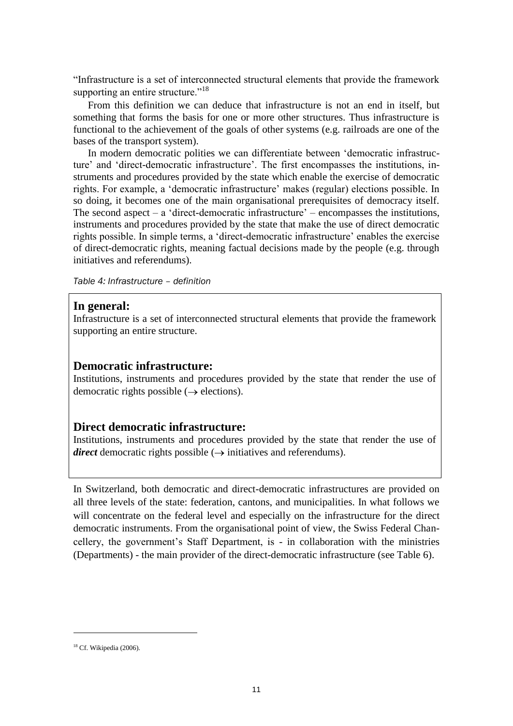"Infrastructure is a set of interconnected structural elements that provide the framework supporting an entire structure."<sup>18</sup>

From this definition we can deduce that infrastructure is not an end in itself, but something that forms the basis for one or more other structures. Thus infrastructure is functional to the achievement of the goals of other systems (e.g. railroads are one of the bases of the transport system).

In modern democratic polities we can differentiate between "democratic infrastructure' and 'direct-democratic infrastructure'. The first encompasses the institutions, instruments and procedures provided by the state which enable the exercise of democratic rights. For example, a 'democratic infrastructure' makes (regular) elections possible. In so doing, it becomes one of the main organisational prerequisites of democracy itself. The second aspect – a 'direct-democratic infrastructure' – encompasses the institutions, instruments and procedures provided by the state that make the use of direct democratic rights possible. In simple terms, a 'direct-democratic infrastructure' enables the exercise of direct-democratic rights, meaning factual decisions made by the people (e.g. through initiatives and referendums).

*Table 4: Infrastructure – definition*

#### **In general:**

Infrastructure is a set of interconnected structural elements that provide the framework supporting an entire structure.

#### **Democratic infrastructure:**

Institutions, instruments and procedures provided by the state that render the use of democratic rights possible  $(\rightarrow$  elections).

#### **Direct democratic infrastructure:**

Institutions, instruments and procedures provided by the state that render the use of *direct* democratic rights possible  $(\rightarrow$  initiatives and referendums).

In Switzerland, both democratic and direct-democratic infrastructures are provided on all three levels of the state: federation, cantons, and municipalities. In what follows we will concentrate on the federal level and especially on the infrastructure for the direct democratic instruments. From the organisational point of view, the Swiss Federal Chancellery, the government's Staff Department, is - in collaboration with the ministries (Departments) - the main provider of the direct-democratic infrastructure (see Table 6).

 $18$  Cf. Wikipedia (2006).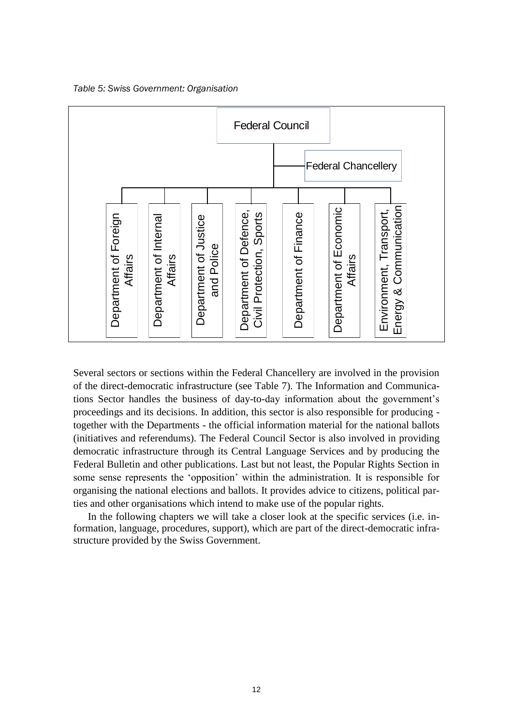*Table 5: Swiss Government: Organisation*



Several sectors or sections within the Federal Chancellery are involved in the provision of the direct-democratic infrastructure (see Table 7). The Information and Communications Sector handles the business of day-to-day information about the government"s proceedings and its decisions. In addition, this sector is also responsible for producing together with the Departments - the official information material for the national ballots (initiatives and referendums). The Federal Council Sector is also involved in providing democratic infrastructure through its Central Language Services and by producing the Federal Bulletin and other publications. Last but not least, the Popular Rights Section in some sense represents the "opposition" within the administration. It is responsible for organising the national elections and ballots. It provides advice to citizens, political parties and other organisations which intend to make use of the popular rights.

In the following chapters we will take a closer look at the specific services (i.e. information, language, procedures, support), which are part of the direct-democratic infrastructure provided by the Swiss Government.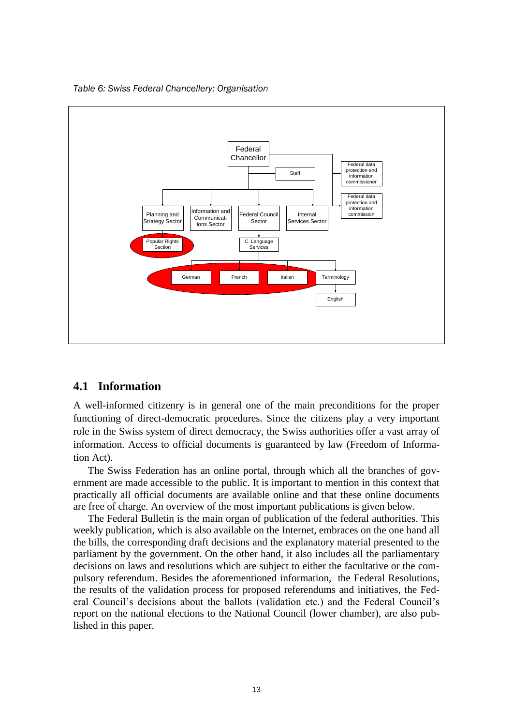*Table 6: Swiss Federal Chancellery: Organisation*



#### **4.1 Information**

A well-informed citizenry is in general one of the main preconditions for the proper functioning of direct-democratic procedures. Since the citizens play a very important role in the Swiss system of direct democracy, the Swiss authorities offer a vast array of information. Access to official documents is guaranteed by law (Freedom of Information Act).

The Swiss Federation has an online portal, through which all the branches of government are made accessible to the public. It is important to mention in this context that practically all official documents are available online and that these online documents are free of charge. An overview of the most important publications is given below.

The Federal Bulletin is the main organ of publication of the federal authorities. This weekly publication, which is also available on the Internet, embraces on the one hand all the bills, the corresponding draft decisions and the explanatory material presented to the parliament by the government. On the other hand, it also includes all the parliamentary decisions on laws and resolutions which are subject to either the facultative or the compulsory referendum. Besides the aforementioned information, the Federal Resolutions, the results of the validation process for proposed referendums and initiatives, the Federal Council"s decisions about the ballots (validation etc.) and the Federal Council"s report on the national elections to the National Council (lower chamber), are also published in this paper.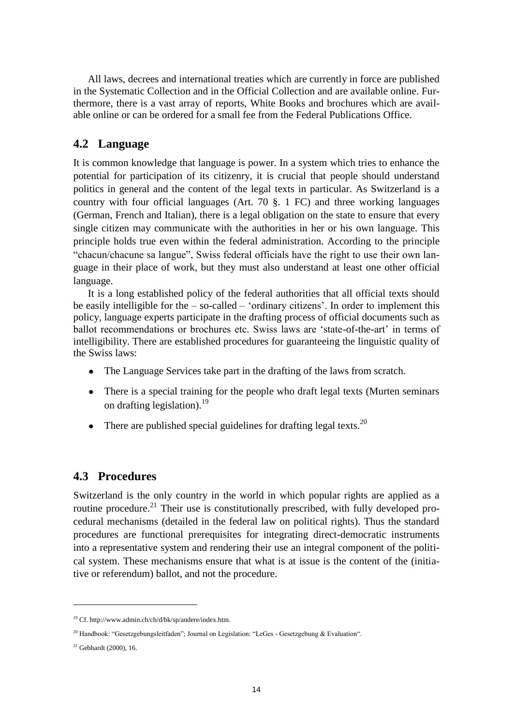All laws, decrees and international treaties which are currently in force are published in the Systematic Collection and in the Official Collection and are available online. Furthermore, there is a vast array of reports, White Books and brochures which are available online or can be ordered for a small fee from the Federal Publications Office.

### **4.2 Language**

It is common knowledge that language is power. In a system which tries to enhance the potential for participation of its citizenry, it is crucial that people should understand politics in general and the content of the legal texts in particular. As Switzerland is a country with four official languages (Art. 70 §. 1 FC) and three working languages (German, French and Italian), there is a legal obligation on the state to ensure that every single citizen may communicate with the authorities in her or his own language. This principle holds true even within the federal administration. According to the principle "chacun/chacune sa langue", Swiss federal officials have the right to use their own language in their place of work, but they must also understand at least one other official language.

It is a long established policy of the federal authorities that all official texts should be easily intelligible for the  $-$  so-called  $-$  'ordinary citizens'. In order to implement this policy, language experts participate in the drafting process of official documents such as ballot recommendations or brochures etc. Swiss laws are "state-of-the-art" in terms of intelligibility. There are established procedures for guaranteeing the linguistic quality of the Swiss laws:

- The Language Services take part in the drafting of the laws from scratch.
- There is a special training for the people who draft legal texts (Murten seminars on drafting legislation).<sup>19</sup>
- There are published special guidelines for drafting legal texts.<sup>20</sup>

### **4.3 Procedures**

Switzerland is the only country in the world in which popular rights are applied as a routine procedure.<sup>21</sup> Their use is constitutionally prescribed, with fully developed procedural mechanisms (detailed in the federal law on political rights). Thus the standard procedures are functional prerequisites for integrating direct-democratic instruments into a representative system and rendering their use an integral component of the political system. These mechanisms ensure that what is at issue is the content of the (initiative or referendum) ballot, and not the procedure.

<sup>19</sup> Cf. http://www.admin.ch/ch/d/bk/sp/andere/index.htm.

<sup>&</sup>lt;sup>20</sup> Handbook: "Gesetzgebungsleitfaden"; Journal on Legislation: "LeGes - Gesetzgebung & Evaluation".

 $21$  Gebhardt (2000), 16.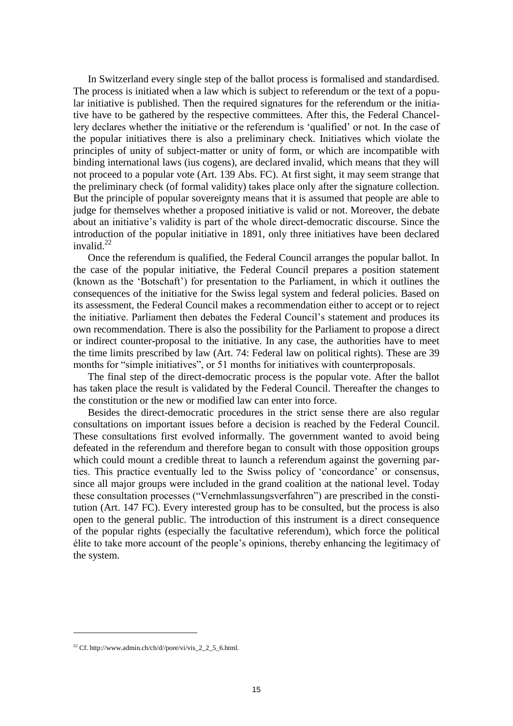In Switzerland every single step of the ballot process is formalised and standardised. The process is initiated when a law which is subject to referendum or the text of a popular initiative is published. Then the required signatures for the referendum or the initiative have to be gathered by the respective committees. After this, the Federal Chancellery declares whether the initiative or the referendum is "qualified" or not. In the case of the popular initiatives there is also a preliminary check. Initiatives which violate the principles of unity of subject-matter or unity of form, or which are incompatible with binding international laws (ius cogens), are declared invalid, which means that they will not proceed to a popular vote (Art. 139 Abs. FC). At first sight, it may seem strange that the preliminary check (of formal validity) takes place only after the signature collection. But the principle of popular sovereignty means that it is assumed that people are able to judge for themselves whether a proposed initiative is valid or not. Moreover, the debate about an initiative"s validity is part of the whole direct-democratic discourse. Since the introduction of the popular initiative in 1891, only three initiatives have been declared invalid.<sup>22</sup>

Once the referendum is qualified, the Federal Council arranges the popular ballot. In the case of the popular initiative, the Federal Council prepares a position statement (known as the "Botschaft") for presentation to the Parliament, in which it outlines the consequences of the initiative for the Swiss legal system and federal policies. Based on its assessment, the Federal Council makes a recommendation either to accept or to reject the initiative. Parliament then debates the Federal Council"s statement and produces its own recommendation. There is also the possibility for the Parliament to propose a direct or indirect counter-proposal to the initiative. In any case, the authorities have to meet the time limits prescribed by law (Art. 74: Federal law on political rights). These are 39 months for "simple initiatives", or 51 months for initiatives with counterproposals.

The final step of the direct-democratic process is the popular vote. After the ballot has taken place the result is validated by the Federal Council. Thereafter the changes to the constitution or the new or modified law can enter into force.

Besides the direct-democratic procedures in the strict sense there are also regular consultations on important issues before a decision is reached by the Federal Council. These consultations first evolved informally. The government wanted to avoid being defeated in the referendum and therefore began to consult with those opposition groups which could mount a credible threat to launch a referendum against the governing parties. This practice eventually led to the Swiss policy of "concordance" or consensus, since all major groups were included in the grand coalition at the national level. Today these consultation processes ("Vernehmlassungsverfahren") are prescribed in the constitution (Art. 147 FC). Every interested group has to be consulted, but the process is also open to the general public. The introduction of this instrument is a direct consequence of the popular rights (especially the facultative referendum), which force the political élite to take more account of the people"s opinions, thereby enhancing the legitimacy of the system.

<sup>&</sup>lt;sup>22</sup> Cf. http://www.admin.ch/ch/d//pore/vi/vis\_2\_2\_5\_6.html.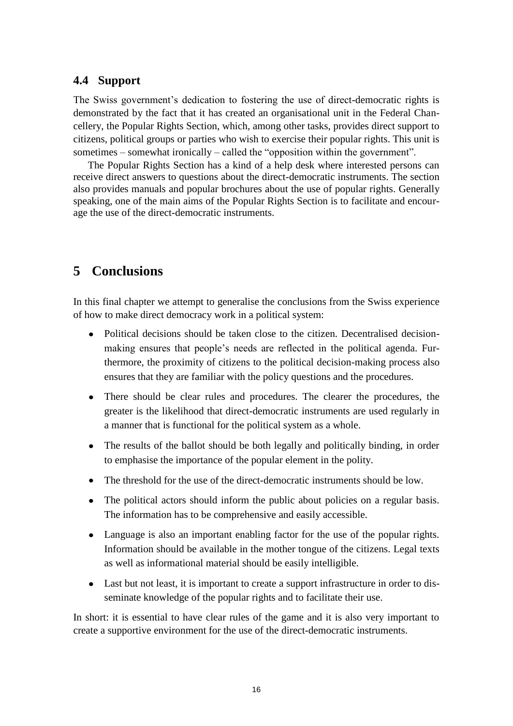### **4.4 Support**

The Swiss government"s dedication to fostering the use of direct-democratic rights is demonstrated by the fact that it has created an organisational unit in the Federal Chancellery, the Popular Rights Section, which, among other tasks, provides direct support to citizens, political groups or parties who wish to exercise their popular rights. This unit is sometimes – somewhat ironically – called the "opposition within the government".

The Popular Rights Section has a kind of a help desk where interested persons can receive direct answers to questions about the direct-democratic instruments. The section also provides manuals and popular brochures about the use of popular rights. Generally speaking, one of the main aims of the Popular Rights Section is to facilitate and encourage the use of the direct-democratic instruments.

## **5 Conclusions**

In this final chapter we attempt to generalise the conclusions from the Swiss experience of how to make direct democracy work in a political system:

- Political decisions should be taken close to the citizen. Decentralised decisionmaking ensures that people"s needs are reflected in the political agenda. Furthermore, the proximity of citizens to the political decision-making process also ensures that they are familiar with the policy questions and the procedures.
- There should be clear rules and procedures. The clearer the procedures, the greater is the likelihood that direct-democratic instruments are used regularly in a manner that is functional for the political system as a whole.
- The results of the ballot should be both legally and politically binding, in order to emphasise the importance of the popular element in the polity.
- The threshold for the use of the direct-democratic instruments should be low.
- The political actors should inform the public about policies on a regular basis. The information has to be comprehensive and easily accessible.
- Language is also an important enabling factor for the use of the popular rights. Information should be available in the mother tongue of the citizens. Legal texts as well as informational material should be easily intelligible.
- Last but not least, it is important to create a support infrastructure in order to disseminate knowledge of the popular rights and to facilitate their use.

In short: it is essential to have clear rules of the game and it is also very important to create a supportive environment for the use of the direct-democratic instruments.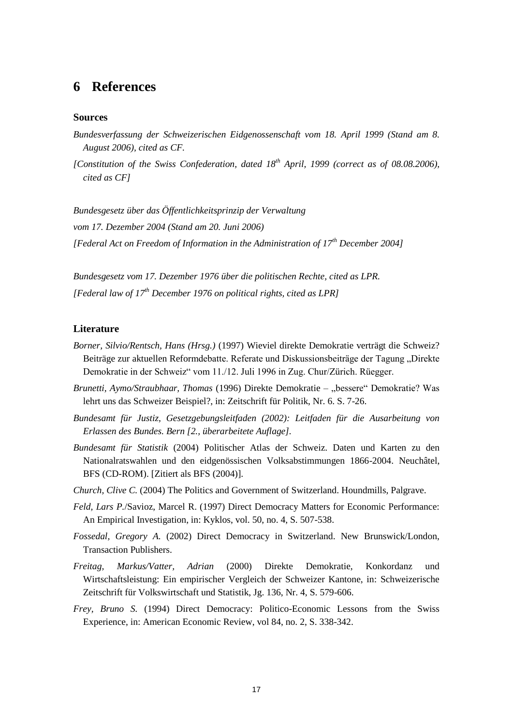### **6 References**

#### **Sources**

- *Bundesverfassung der Schweizerischen Eidgenossenschaft vom 18. April 1999 (Stand am 8. August 2006), cited as CF.*
- *[Constitution of the Swiss Confederation, dated 18th April, 1999 (correct as of 08.08.2006), cited as CF]*

*Bundesgesetz über das Öffentlichkeitsprinzip der Verwaltung vom 17. Dezember 2004 (Stand am 20. Juni 2006) [Federal Act on Freedom of Information in the Administration of 17th December 2004]*

*Bundesgesetz vom 17. Dezember 1976 über die politischen Rechte, cited as LPR. [Federal law of 17th December 1976 on political rights, cited as LPR]*

#### **Literature**

- *Borner, Silvio/Rentsch, Hans (Hrsg.)* (1997) Wieviel direkte Demokratie verträgt die Schweiz? Beiträge zur aktuellen Reformdebatte. Referate und Diskussionsbeiträge der Tagung "Direkte Demokratie in der Schweiz" vom 11./12. Juli 1996 in Zug. Chur/Zürich. Rüegger.
- *Brunetti, Aymo/Straubhaar, Thomas* (1996) Direkte Demokratie "bessere" Demokratie? Was lehrt uns das Schweizer Beispiel?, in: Zeitschrift für Politik, Nr. 6. S. 7-26.
- *Bundesamt für Justiz, Gesetzgebungsleitfaden (2002): Leitfaden für die Ausarbeitung von Erlassen des Bundes. Bern [2., überarbeitete Auflage].*
- *Bundesamt für Statistik* (2004) Politischer Atlas der Schweiz. Daten und Karten zu den Nationalratswahlen und den eidgenössischen Volksabstimmungen 1866-2004. Neuchâtel, BFS (CD-ROM). [Zitiert als BFS (2004)].
- *Church, Clive C.* (2004) The Politics and Government of Switzerland. Houndmills, Palgrave.
- *Feld, Lars P.*/Savioz, Marcel R. (1997) Direct Democracy Matters for Economic Performance: An Empirical Investigation, in: Kyklos, vol. 50, no. 4, S. 507-538.
- *Fossedal, Gregory A.* (2002) Direct Democracy in Switzerland. New Brunswick/London, Transaction Publishers.
- *Freitag, Markus/Vatter, Adrian* (2000) Direkte Demokratie, Konkordanz und Wirtschaftsleistung: Ein empirischer Vergleich der Schweizer Kantone, in: Schweizerische Zeitschrift für Volkswirtschaft und Statistik, Jg. 136, Nr. 4, S. 579-606.
- *Frey, Bruno S.* (1994) Direct Democracy: Politico-Economic Lessons from the Swiss Experience, in: American Economic Review, vol 84, no. 2, S. 338-342.